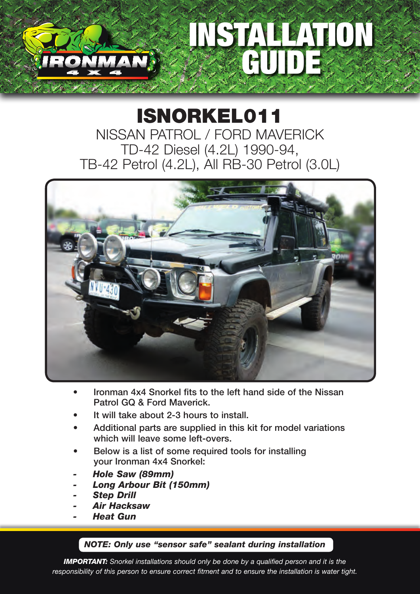# STALLATION GUIDE

#### ISNORKEL011 NISSAN PATROL / FORD MAVERICK TD-42 Diesel (4.2L) 1990-94, TB-42 Petrol (4.2L), All RB-30 Petrol (3.0L)



- Ironman 4x4 Snorkel fits to the left hand side of the Nissan Patrol GQ & Ford Maverick.
- It will take about 2-3 hours to install.
- Additional parts are supplied in this kit for model variations which will leave some left-overs.
- Below is a list of some required tools for installing your Ironman 4x4 Snorkel:
- *- Hole Saw (89mm)*
- *- Long Arbour Bit (150mm)*
- *- Step Drill*
- *- Air Hacksaw*
- *- Heat Gun*

#### *NOTE: Only use "sensor safe" sealant during installation*

*IMPORTANT: Snorkel installations should only be done by a qualified person and it is the responsibility of this person to ensure correct fitment and to ensure the installation is water tight.*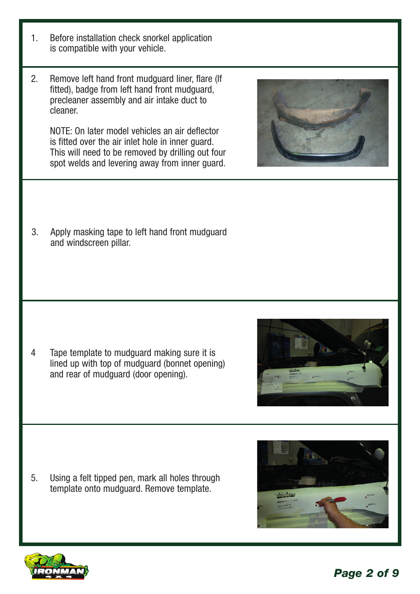- 1. Before installation check snorkel application is compatible with your vehicle.
- 2. Remove left hand front mudguard liner, flare (If fitted), badge from left hand front mudguard, precleaner assembly and air intake duct to cleaner.

NOTE: On later model vehicles an air deflector is fitted over the air inlet hole in inner guard. This will need to be removed by drilling out four spot welds and levering away from inner guard.

3. Apply masking tape to left hand front mudguard and windscreen pillar.

4 Tape template to mudguard making sure it is lined up with top of mudguard (bonnet opening) and rear of mudguard (door opening).

5. Using a felt tipped pen, mark all holes through template onto mudguard. Remove template.







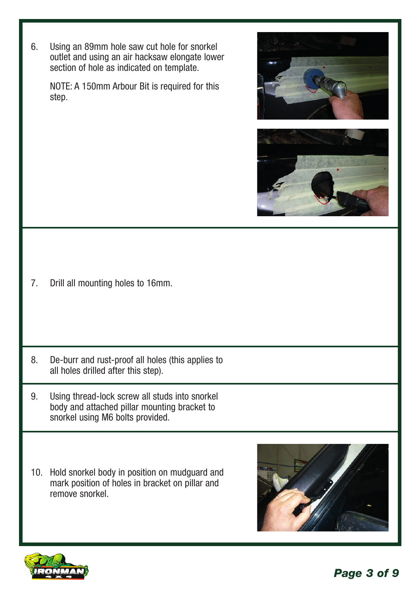6. Using an 89mm hole saw cut hole for snorkel outlet and using an air hacksaw elongate lower section of hole as indicated on template.

NOTE: A 150mm Arbour Bit is required for this step.





7. Drill all mounting holes to 16mm.

- 8. De-burr and rust-proof all holes (this applies to all holes drilled after this step).
- 9. Using thread-lock screw all studs into snorkel body and attached pillar mounting bracket to snorkel using M6 bolts provided.
- 10. Hold snorkel body in position on mudguard and mark position of holes in bracket on pillar and remove snorkel.



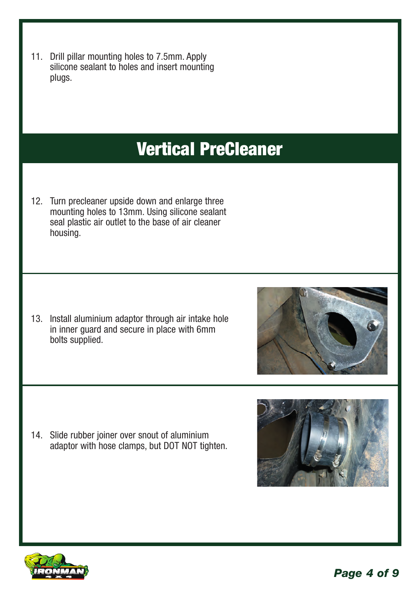11. Drill pillar mounting holes to 7.5mm. Apply silicone sealant to holes and insert mounting plugs.

#### Vertical PreCleaner

12. Turn precleaner upside down and enlarge three mounting holes to 13mm. Using silicone sealant seal plastic air outlet to the base of air cleaner housing.

13. Install aluminium adaptor through air intake hole in inner guard and secure in place with 6mm bolts supplied.

14. Slide rubber joiner over snout of aluminium adaptor with hose clamps, but DOT NOT tighten.







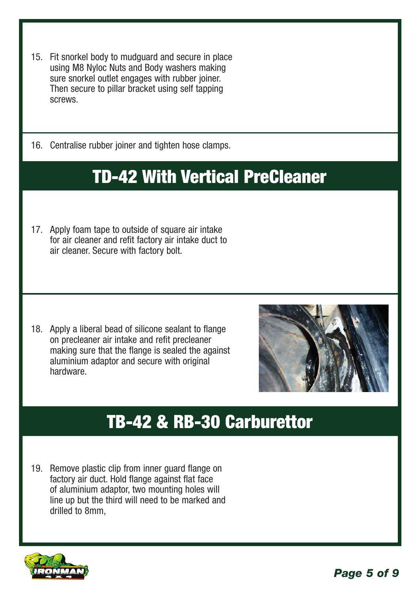- 15. Fit snorkel body to mudguard and secure in place using M8 Nyloc Nuts and Body washers making sure snorkel outlet engages with rubber joiner. Then secure to pillar bracket using self tapping screws.
- 16. Centralise rubber joiner and tighten hose clamps.

### TD-42 With Vertical PreCleaner

17. Apply foam tape to outside of square air intake for air cleaner and refit factory air intake duct to air cleaner. Secure with factory bolt.

18. Apply a liberal bead of silicone sealant to flange on precleaner air intake and refit precleaner making sure that the flange is sealed the against aluminium adaptor and secure with original hardware.



#### TB-42 & RB-30 Carburettor

19. Remove plastic clip from inner guard flange on factory air duct. Hold flange against flat face of aluminium adaptor, two mounting holes will line up but the third will need to be marked and drilled to 8mm,

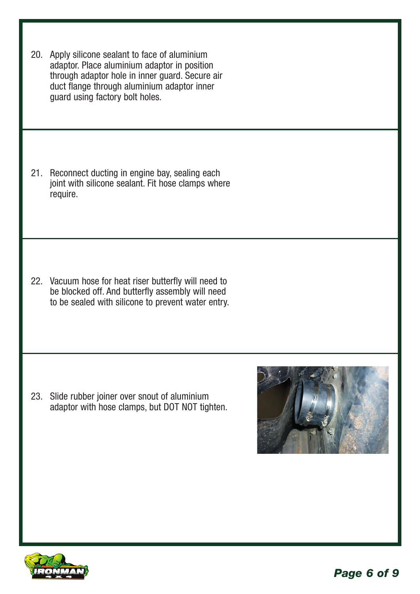20. Apply silicone sealant to face of aluminium adaptor. Place aluminium adaptor in position through adaptor hole in inner guard. Secure air duct flange through aluminium adaptor inner guard using factory bolt holes.

21. Reconnect ducting in engine bay, sealing each joint with silicone sealant. Fit hose clamps where require.

22. Vacuum hose for heat riser butterfly will need to be blocked off. And butterfly assembly will need to be sealed with silicone to prevent water entry.

23. Slide rubber joiner over snout of aluminium adaptor with hose clamps, but DOT NOT tighten.



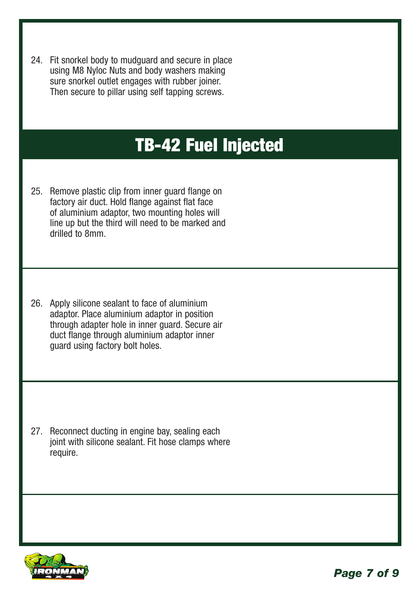24. Fit snorkel body to mudguard and secure in place using M8 Nyloc Nuts and body washers making sure snorkel outlet engages with rubber joiner. Then secure to pillar using self tapping screws.

#### TB-42 Fuel Injected

- 25. Remove plastic clip from inner guard flange on factory air duct. Hold flange against flat face of aluminium adaptor, two mounting holes will line up but the third will need to be marked and drilled to 8mm.
- 26. Apply silicone sealant to face of aluminium adaptor. Place aluminium adaptor in position through adapter hole in inner guard. Secure air duct flange through aluminium adaptor inner guard using factory bolt holes.

27. Reconnect ducting in engine bay, sealing each joint with silicone sealant. Fit hose clamps where require.

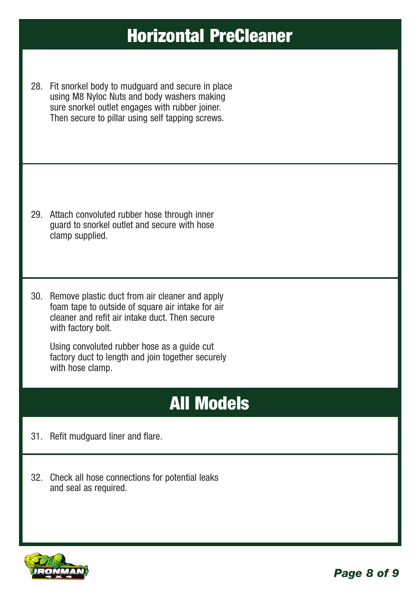#### Horizontal PreCleaner

28. Fit snorkel body to mudguard and secure in place using M8 Nyloc Nuts and body washers making sure snorkel outlet engages with rubber joiner. Then secure to pillar using self tapping screws.

- 29. Attach convoluted rubber hose through inner guard to snorkel outlet and secure with hose clamp supplied.
- 30. Remove plastic duct from air cleaner and apply foam tape to outside of square air intake for air cleaner and refit air intake duct. Then secure with factory bolt.

Using convoluted rubber hose as a guide cut factory duct to length and join together securely with hose clamp.

## All Models

- 31. Refit mudguard liner and flare.
- 32. Check all hose connections for potential leaks and seal as required.